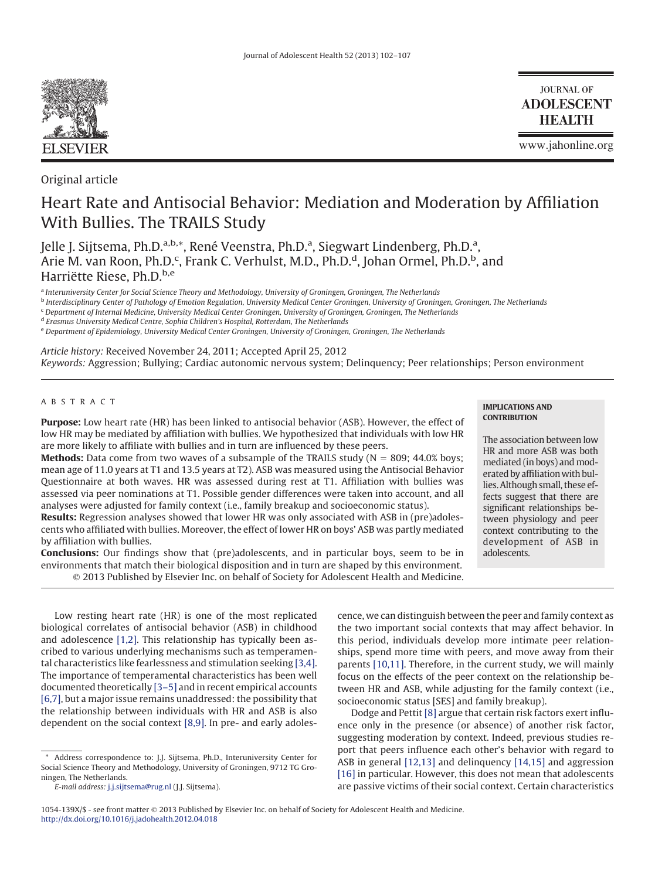

Original article

**JOURNAL OF ADOLESCENT HEALTH** 

www.jahonline.org

# Heart Rate and Antisocial Behavior: Mediation and Moderation by Affiliation With Bullies. The TRAILS Study

Jelle J. Sijtsema, Ph.D.<sup>a,b,\*</sup>, René Veenstra, Ph.D.ª, Siegwart Lindenberg, Ph.D.ª, Arie M. van Roon, Ph.D.<sup>c</sup>, Frank C. Verhulst, M.D., Ph.D.<sup>d</sup>, Johan Ormel, Ph.D.<sup>b</sup>, and Harriëtte Riese, Ph.D.<sup>b,e</sup>

<sup>a</sup> *Interuniversity Center for Social Science Theory and Methodology, University of Groningen, Groningen, The Netherlands*

<sup>b</sup> *Interdisciplinary Center of Pathology of Emotion Regulation, University Medical Center Groningen, University of Groningen, Groningen, The Netherlands*

<sup>c</sup> *Department of Internal Medicine, University Medical Center Groningen, University of Groningen, Groningen, The Netherlands*

<sup>d</sup> *Erasmus University Medical Centre, Sophia Children's Hospital, Rotterdam, The Netherlands*

<sup>e</sup> *Department of Epidemiology, University Medical Center Groningen, University of Groningen, Groningen, The Netherlands*

*Article history:* Received November 24, 2011; Accepted April 25, 2012 *Keywords:* Aggression; Bullying; Cardiac autonomic nervous system; Delinquency; Peer relationships; Person environment

## ABSTRACT

**Purpose:** Low heart rate (HR) has been linked to antisocial behavior (ASB). However, the effect of low HR may be mediated by affiliation with bullies. We hypothesized that individuals with low HR are more likely to affiliate with bullies and in turn are influenced by these peers.

**Methods:** Data come from two waves of a subsample of the TRAILS study ( $N = 809$ ; 44.0% boys; mean age of 11.0 years at T1 and 13.5 years at T2). ASB was measured using the Antisocial Behavior Questionnaire at both waves. HR was assessed during rest at T1. Affiliation with bullies was assessed via peer nominations at T1. Possible gender differences were taken into account, and all analyses were adjusted for family context (i.e., family breakup and socioeconomic status).

**Results:** Regression analyses showed that lower HR was only associated with ASB in (pre)adolescents who affiliated with bullies. Moreover, the effect of lower HR on boys' ASB was partly mediated by affiliation with bullies.

**Conclusions:** Our findings show that (pre)adolescents, and in particular boys, seem to be in environments that match their biological disposition and in turn are shaped by this environment. 2013 Published by Elsevier Inc. on behalf of Society for Adolescent Health and Medicine.

#### **IMPLICATIONS AND CONTRIBUTION**

The association between low HR and more ASB was both mediated (in boys) and moderated by affiliation with bullies. Although small, these effects suggest that there are significant relationships between physiology and peer context contributing to the development of ASB in adolescents.

Low resting heart rate (HR) is one of the most replicated biological correlates of antisocial behavior (ASB) in childhood and adolescence [\[1,2\].](#page-5-0) This relationship has typically been ascribed to various underlying mechanisms such as temperamental characteristics like fearlessness and stimulation seeking [\[3,4\].](#page-5-1) The importance of temperamental characteristics has been well documented theoretically [\[3–5\]](#page-5-1) and in recent empirical accounts [\[6,7\],](#page-5-2) but a major issue remains unaddressed: the possibility that the relationship between individuals with HR and ASB is also dependent on the social context [\[8,9\].](#page-5-3) In pre- and early adoles-

Address correspondence to: J.J. Sijtsema, Ph.D., Interuniversity Center for Social Science Theory and Methodology, University of Groningen, 9712 TG Groningen, The Netherlands.

*E-mail address:* [j.j.sijtsema@rug.nl](mailto:j.j.sijtsema@rug.nl) (J.J. Sijtsema).

cence, we can distinguish between the peer and family context as the two important social contexts that may affect behavior. In this period, individuals develop more intimate peer relationships, spend more time with peers, and move away from their parents [\[10,11\].](#page-5-4) Therefore, in the current study, we will mainly focus on the effects of the peer context on the relationship between HR and ASB, while adjusting for the family context (i.e., socioeconomic status [SES] and family breakup).

Dodge and Pettit [\[8\]](#page-5-3) argue that certain risk factors exert influence only in the presence (or absence) of another risk factor, suggesting moderation by context. Indeed, previous studies report that peers influence each other's behavior with regard to ASB in general [\[12,13\]](#page-5-5) and delinquency [\[14,15\]](#page-5-6) and aggression [\[16\]](#page-5-7) in particular. However, this does not mean that adolescents are passive victims of their social context. Certain characteristics

<sup>1054-139</sup>X/\$ - see front matter 2013 Published by Elsevier Inc. on behalf of Society for Adolescent Health and Medicine. <http://dx.doi.org/10.1016/j.jadohealth.2012.04.018>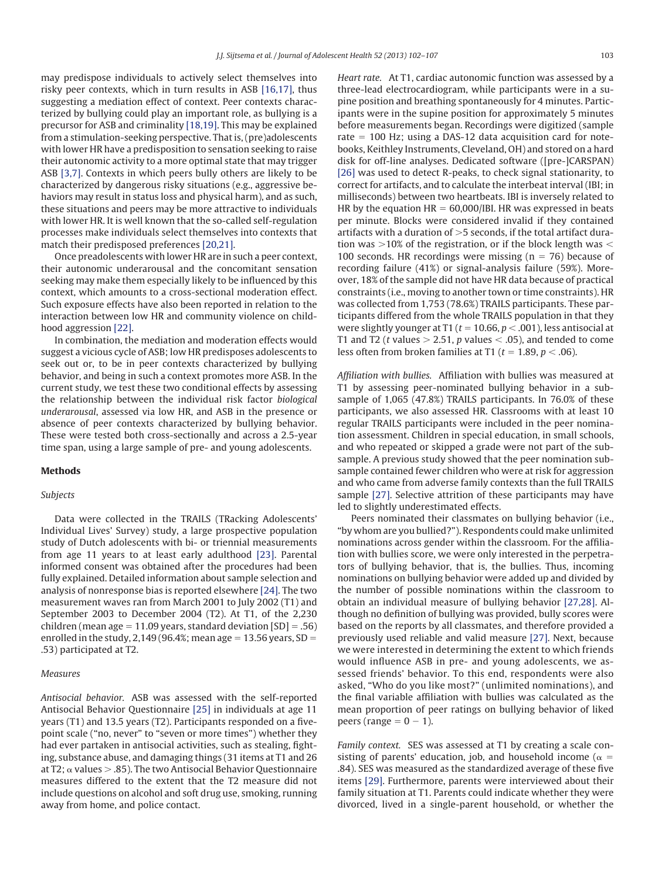may predispose individuals to actively select themselves into risky peer contexts, which in turn results in ASB [\[16,17\],](#page-5-7) thus suggesting a mediation effect of context. Peer contexts characterized by bullying could play an important role, as bullying is a precursor for ASB and criminality [\[18,19\].](#page-5-8) This may be explained from a stimulation-seeking perspective. That is, (pre)adolescents with lower HR have a predisposition to sensation seeking to raise their autonomic activity to a more optimal state that may trigger ASB [\[3,7\].](#page-5-1) Contexts in which peers bully others are likely to be characterized by dangerous risky situations (e.g., aggressive behaviors may result in status loss and physical harm), and as such, these situations and peers may be more attractive to individuals with lower HR. It is well known that the so-called self-regulation processes make individuals select themselves into contexts that match their predisposed preferences [\[20,21\].](#page-5-9)

Once preadolescents with lower HR are in such a peer context, their autonomic underarousal and the concomitant sensation seeking may make them especially likely to be influenced by this context, which amounts to a cross-sectional moderation effect. Such exposure effects have also been reported in relation to the interaction between low HR and community violence on childhood aggression [\[22\].](#page-5-10)

In combination, the mediation and moderation effects would suggest a vicious cycle of ASB; low HR predisposes adolescents to seek out or, to be in peer contexts characterized by bullying behavior, and being in such a context promotes more ASB. In the current study, we test these two conditional effects by assessing the relationship between the individual risk factor *biological underarousal*, assessed via low HR, and ASB in the presence or absence of peer contexts characterized by bullying behavior. These were tested both cross-sectionally and across a 2.5-year time span, using a large sample of pre- and young adolescents.

## **Methods**

#### *Subjects*

Data were collected in the TRAILS (TRacking Adolescents' Individual Lives' Survey) study, a large prospective population study of Dutch adolescents with bi- or triennial measurements from age 11 years to at least early adulthood [\[23\].](#page-5-11) Parental informed consent was obtained after the procedures had been fully explained. Detailed information about sample selection and analysis of nonresponse bias is reported elsewhere [\[24\].](#page-5-12) The two measurement waves ran from March 2001 to July 2002 (T1) and September 2003 to December 2004 (T2). At T1, of the 2,230 children (mean age  $= 11.09$  years, standard deviation  $[SD] = .56$ ) enrolled in the study, 2,149 (96.4%; mean age  $= 13.56$  years, SD  $=$ .53) participated at T2.

## *Measures*

*Antisocial behavior.* ASB was assessed with the self-reported Antisocial Behavior Questionnaire [\[25\]](#page-5-13) in individuals at age 11 years (T1) and 13.5 years (T2). Participants responded on a fivepoint scale ("no, never" to "seven or more times") whether they had ever partaken in antisocial activities, such as stealing, fighting, substance abuse, and damaging things (31 items at T1 and 26 at T2;  $\alpha$  values  $>$  .85). The two Antisocial Behavior Questionnaire measures differed to the extent that the T2 measure did not include questions on alcohol and soft drug use, smoking, running away from home, and police contact.

*Heart rate.* At T1, cardiac autonomic function was assessed by a three-lead electrocardiogram, while participants were in a supine position and breathing spontaneously for 4 minutes. Participants were in the supine position for approximately 5 minutes before measurements began. Recordings were digitized (sample rate  $= 100$  Hz; using a DAS-12 data acquisition card for notebooks, Keithley Instruments, Cleveland, OH) and stored on a hard disk for off-line analyses. Dedicated software ([pre-]CARSPAN) [\[26\]](#page-5-14) was used to detect R-peaks, to check signal stationarity, to correct for artifacts, and to calculate the interbeat interval (IBI; in milliseconds) between two heartbeats. IBI is inversely related to HR by the equation  $HR = 60,000/IBI$ . HR was expressed in beats per minute. Blocks were considered invalid if they contained artifacts with a duration of  $>5$  seconds, if the total artifact duration was  $>$ 10% of the registration, or if the block length was  $<$ 100 seconds. HR recordings were missing ( $n = 76$ ) because of recording failure (41%) or signal-analysis failure (59%). Moreover, 18% of the sample did not have HR data because of practical constraints (i.e., moving to another town or time constraints). HR was collected from 1,753 (78.6%) TRAILS participants. These participants differed from the whole TRAILS population in that they were slightly younger at T1 ( $t = 10.66$ ,  $p < .001$ ), less antisocial at T1 and T2 (*t* values  $>$  2.51, *p* values  $<$  .05), and tended to come less often from broken families at T1 ( $t = 1.89$ ,  $p < .06$ ).

*Affiliation with bullies.* Affiliation with bullies was measured at T1 by assessing peer-nominated bullying behavior in a subsample of 1,065 (47.8%) TRAILS participants. In 76.0% of these participants, we also assessed HR. Classrooms with at least 10 regular TRAILS participants were included in the peer nomination assessment. Children in special education, in small schools, and who repeated or skipped a grade were not part of the subsample. A previous study showed that the peer nomination subsample contained fewer children who were at risk for aggression and who came from adverse family contexts than the full TRAILS sample [\[27\].](#page-5-15) Selective attrition of these participants may have led to slightly underestimated effects.

Peers nominated their classmates on bullying behavior (i.e., "by whom are you bullied?"). Respondents could make unlimited nominations across gender within the classroom. For the affiliation with bullies score, we were only interested in the perpetrators of bullying behavior, that is, the bullies. Thus, incoming nominations on bullying behavior were added up and divided by the number of possible nominations within the classroom to obtain an individual measure of bullying behavior [\[27,28\].](#page-5-15) Although no definition of bullying was provided, bully scores were based on the reports by all classmates, and therefore provided a previously used reliable and valid measure [\[27\].](#page-5-15) Next, because we were interested in determining the extent to which friends would influence ASB in pre- and young adolescents, we assessed friends' behavior. To this end, respondents were also asked, "Who do you like most?" (unlimited nominations), and the final variable affiliation with bullies was calculated as the mean proportion of peer ratings on bullying behavior of liked peers (range  $= 0 - 1$ ).

*Family context.* SES was assessed at T1 by creating a scale consisting of parents' education, job, and household income ( $\alpha =$ .84). SES was measured as the standardized average of these five items [\[29\].](#page-5-16) Furthermore, parents were interviewed about their family situation at T1. Parents could indicate whether they were divorced, lived in a single-parent household, or whether the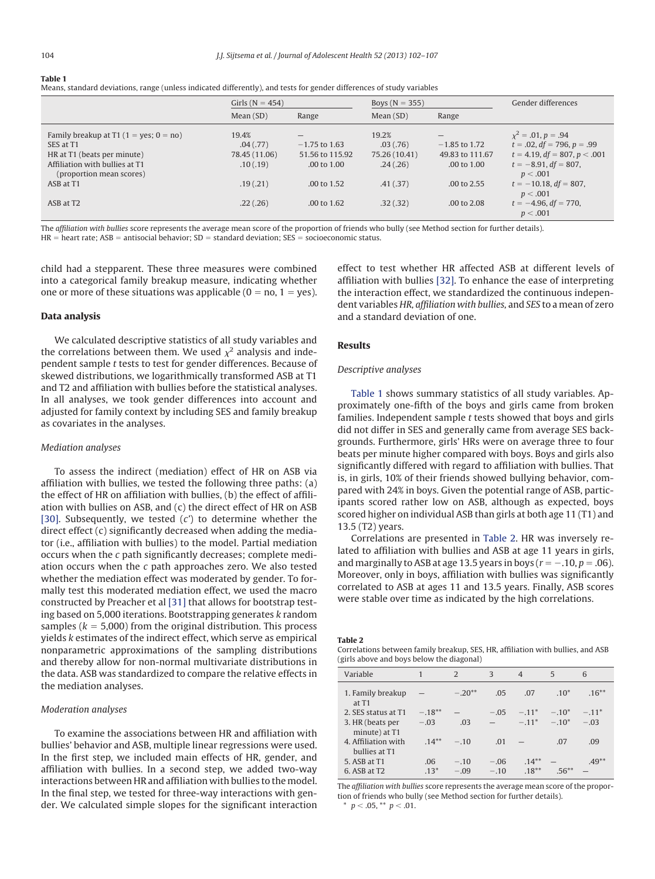<span id="page-2-0"></span>

| $\sim$<br>. . |  |  |
|---------------|--|--|
|---------------|--|--|

| Means, standard deviations, range (unless indicated differently), and tests for gender differences of study variables |  |  |  |
|-----------------------------------------------------------------------------------------------------------------------|--|--|--|
|                                                                                                                       |  |  |  |

|                                                                                                                                                                                               | Girls ( $N = 454$ )                                                     |                                                                                     |                                                                         |                                                                                                       | Gender differences                                                                                                                                                                                                                |  |
|-----------------------------------------------------------------------------------------------------------------------------------------------------------------------------------------------|-------------------------------------------------------------------------|-------------------------------------------------------------------------------------|-------------------------------------------------------------------------|-------------------------------------------------------------------------------------------------------|-----------------------------------------------------------------------------------------------------------------------------------------------------------------------------------------------------------------------------------|--|
|                                                                                                                                                                                               | Mean(SD)                                                                | Range                                                                               | Mean(SD)                                                                | Range                                                                                                 |                                                                                                                                                                                                                                   |  |
| Family breakup at T1 ( $1 = yes$ ; $0 = no$ )<br>SES at T1<br>HR at T1 (beats per minute)<br>Affiliation with bullies at T1<br>(proportion mean scores)<br>ASB at T1<br>ASB at T <sub>2</sub> | 19.4%<br>.04(.77)<br>78.45 (11.06)<br>.10(0.19)<br>.19(.21)<br>.22(.26) | $-1.75$ to 1.63<br>51.56 to 115.92<br>$.00$ to $1.00$<br>.00 to 1.52<br>.00 to 1.62 | 19.2%<br>.03(0.76)<br>75.26 (10.41)<br>.24(.26)<br>.41(.37)<br>.32(.32) | $-1.85$ to 1.72<br>49.83 to 111.67<br>$.00 \text{ to } 1.00$<br>.00 to 2.55<br>$.00 \text{ to } 2.08$ | $y^2 = .01, p = .94$<br>$t = .02$ , $df = 796$ , $p = .99$<br>$t = 4.19$ , $df = 807$ , $p < .001$<br>$t = -8.91$ , $df = 807$ ,<br>p < .001<br>$t = -10.18$ , $df = 807$ ,<br>p < .001<br>$t = -4.96$ , $df = 770$ ,<br>p < .001 |  |

The *affiliation with bullies* score represents the average mean score of the proportion of friends who bully (see Method section for further details).  $HR = heart$  rate;  $ASB =$  antisocial behavior;  $SD =$  standard deviation;  $SES =$  socioeconomic status.

child had a stepparent. These three measures were combined into a categorical family breakup measure, indicating whether one or more of these situations was applicable ( $0 =$  no,  $1 =$  yes).

#### **Data analysis**

We calculated descriptive statistics of all study variables and the correlations between them. We used  $\chi^2$  analysis and independent sample *t* tests to test for gender differences. Because of skewed distributions, we logarithmically transformed ASB at T1 and T2 and affiliation with bullies before the statistical analyses. In all analyses, we took gender differences into account and adjusted for family context by including SES and family breakup as covariates in the analyses.

#### *Mediation analyses*

To assess the indirect (mediation) effect of HR on ASB via affiliation with bullies, we tested the following three paths: (a) the effect of HR on affiliation with bullies, (b) the effect of affiliation with bullies on ASB, and (c) the direct effect of HR on ASB [\[30\].](#page-5-17) Subsequently, we tested (*c'*) to determine whether the direct effect (c) significantly decreased when adding the mediator (i.e., affiliation with bullies) to the model. Partial mediation occurs when the *c* path significantly decreases; complete mediation occurs when the *c* path approaches zero. We also tested whether the mediation effect was moderated by gender. To formally test this moderated mediation effect, we used the macro constructed by Preacher et al [\[31\]](#page-5-18) that allows for bootstrap testing based on 5,000 iterations. Bootstrapping generates *k* random samples ( $k = 5,000$ ) from the original distribution. This process yields *k* estimates of the indirect effect, which serve as empirical nonparametric approximations of the sampling distributions and thereby allow for non-normal multivariate distributions in the data. ASB was standardized to compare the relative effects in the mediation analyses.

## *Moderation analyses*

To examine the associations between HR and affiliation with bullies' behavior and ASB, multiple linear regressions were used. In the first step, we included main effects of HR, gender, and affiliation with bullies. In a second step, we added two-way interactions between HR and affiliation with bullies to the model. In the final step, we tested for three-way interactions with gender. We calculated simple slopes for the significant interaction

effect to test whether HR affected ASB at different levels of affiliation with bullies [\[32\].](#page-5-19) To enhance the ease of interpreting the interaction effect, we standardized the continuous independent variables *HR, affiliation with bullies,* and *SES* to a mean of zero and a standard deviation of one.

## **Results**

#### *Descriptive analyses*

[Table 1](#page-2-0) shows summary statistics of all study variables. Approximately one-fifth of the boys and girls came from broken families. Independent sample *t* tests showed that boys and girls did not differ in SES and generally came from average SES backgrounds. Furthermore, girls' HRs were on average three to four beats per minute higher compared with boys. Boys and girls also significantly differed with regard to affiliation with bullies. That is, in girls, 10% of their friends showed bullying behavior, compared with 24% in boys. Given the potential range of ASB, participants scored rather low on ASB, although as expected, boys scored higher on individual ASB than girls at both age 11 (T1) and 13.5 (T2) years.

Correlations are presented in [Table 2.](#page-2-1) HR was inversely related to affiliation with bullies and ASB at age 11 years in girls, and marginally to ASB at age 13.5 years in boys ( $r = -.10, p = .06$ ). Moreover, only in boys, affiliation with bullies was significantly correlated to ASB at ages 11 and 13.5 years. Finally, ASB scores were stable over time as indicated by the high correlations.

<span id="page-2-1"></span>**Table 2**

Correlations between family breakup, SES, HR, affiliation with bullies, and ASB (girls above and boys below the diagonal)

| Variable                             | 1             | $\mathcal{L}$    | 3                | $\overline{4}$     | 5        | 6        |
|--------------------------------------|---------------|------------------|------------------|--------------------|----------|----------|
| 1. Family breakup<br>at T1           |               | $-.20**$         | .05              | .07                | $.10*$   | $.16***$ |
| 2. SES status at T1                  | $-.18***$     |                  | $-.05$           | $-.11*$            | $-.10*$  | $-11*$   |
| 3. HR (beats per<br>minute) at T1    | $-.03$        | .03              |                  | $-.11*$            | $-10^*$  | $-.03$   |
| 4. Affiliation with<br>bullies at T1 | $.14***$      | $-10$            | .01              |                    | .07      | .09      |
| 5. ASB at T1<br>6. ASB at T2         | .06<br>$.13*$ | $-.10$<br>$-.09$ | $-.06$<br>$-.10$ | $.14***$<br>$18**$ | $.56***$ | $.49**$  |

The *affiliation with bullies* score represents the average mean score of the proportion of friends who bully (see Method section for further details).  $p < .05$ , \*\*  $p < .01$ .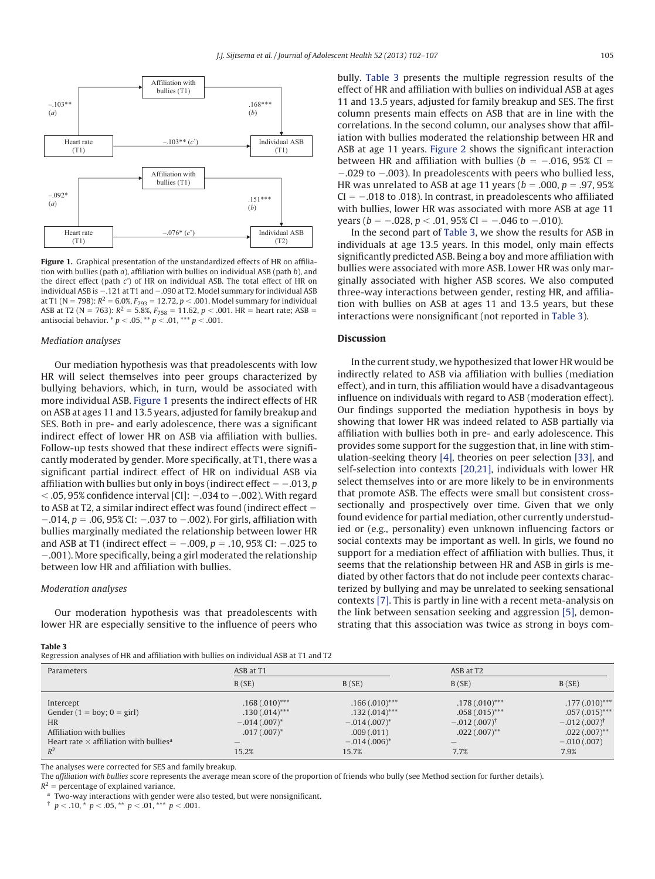

<span id="page-3-0"></span>**Figure 1.** Graphical presentation of the unstandardized effects of HR on affiliation with bullies (path *a*), affiliation with bullies on individual ASB (path *b*), and the direct effect (path *c'*) of HR on individual ASB. The total effect of HR on individual ASB is  $-121$  at T1 and  $-0.090$  at T2. Model summary for individual ASB at T1 (N = 798):  $R^2 = 6.0\%, F_{793} = 12.72, p < .001$ . Model summary for individual ASB at T2 (N = 763):  $R^2 = 5.8\%, F_{758} = 11.62, p < .001$ . HR = heart rate; ASB = antisocial behavior.  $p < .05$ ,  $\sqrt[k]{p} < .01$ ,  $\sqrt[k]{p} < .001$ .

#### *Mediation analyses*

Our mediation hypothesis was that preadolescents with low HR will select themselves into peer groups characterized by bullying behaviors, which, in turn, would be associated with more individual ASB. [Figure 1](#page-3-0) presents the indirect effects of HR on ASB at ages 11 and 13.5 years, adjusted for family breakup and SES. Both in pre- and early adolescence, there was a significant indirect effect of lower HR on ASB via affiliation with bullies. Follow-up tests showed that these indirect effects were significantly moderated by gender. More specifically, at T1, there was a significant partial indirect effect of HR on individual ASB via affiliation with bullies but only in boys (indirect effect  $=$   $-.013, p$ )  $<$  .05, 95% confidence interval [CI]:  $-.034$  to  $-.002$ ). With regard to ASB at T2, a similar indirect effect was found (indirect effect  $-.014$ ,  $p = .06$ , 95% CI:  $-.037$  to  $-.002$ ). For girls, affiliation with bullies marginally mediated the relationship between lower HR and ASB at T1 (indirect effect  $= -.009$ ,  $p = .10$ , 95% CI:  $-.025$  to .001). More specifically, being a girl moderated the relationship between low HR and affiliation with bullies.

#### *Moderation analyses*

Our moderation hypothesis was that preadolescents with lower HR are especially sensitive to the influence of peers who

#### <span id="page-3-1"></span>**Table 3**

Regression analyses of HR and affiliation with bullies on individual ASB at T1 and T2

bully. [Table 3](#page-3-1) presents the multiple regression results of the effect of HR and affiliation with bullies on individual ASB at ages 11 and 13.5 years, adjusted for family breakup and SES. The first column presents main effects on ASB that are in line with the correlations. In the second column, our analyses show that affiliation with bullies moderated the relationship between HR and ASB at age 11 years. [Figure 2](#page-4-0) shows the significant interaction between HR and affiliation with bullies ( $b = -.016, 95\%$  CI =  $-0.029$  to  $-0.003$ ). In preadolescents with peers who bullied less, HR was unrelated to ASB at age 11 years ( $b = .000$ ,  $p = .97, 95\%$  $CI = -.018$  to .018). In contrast, in preadolescents who affiliated with bullies, lower HR was associated with more ASB at age 11 years ( $b = -.028$ ,  $p < .01$ , 95% CI =  $-.046$  to  $-.010$ ).

In the second part of [Table 3,](#page-3-1) we show the results for ASB in individuals at age 13.5 years. In this model, only main effects significantly predicted ASB. Being a boy and more affiliation with bullies were associated with more ASB. Lower HR was only marginally associated with higher ASB scores. We also computed three-way interactions between gender, resting HR, and affiliation with bullies on ASB at ages 11 and 13.5 years, but these interactions were nonsignificant (not reported in [Table 3\)](#page-3-1).

## **Discussion**

In the current study, we hypothesized that lower HR would be indirectly related to ASB via affiliation with bullies (mediation effect), and in turn, this affiliation would have a disadvantageous influence on individuals with regard to ASB (moderation effect). Our findings supported the mediation hypothesis in boys by showing that lower HR was indeed related to ASB partially via affiliation with bullies both in pre- and early adolescence. This provides some support for the suggestion that, in line with stimulation-seeking theory [\[4\],](#page-5-20) theories on peer selection [\[33\],](#page-5-21) and self-selection into contexts [\[20,21\],](#page-5-9) individuals with lower HR select themselves into or are more likely to be in environments that promote ASB. The effects were small but consistent crosssectionally and prospectively over time. Given that we only found evidence for partial mediation, other currently understudied or (e.g., personality) even unknown influencing factors or social contexts may be important as well. In girls, we found no support for a mediation effect of affiliation with bullies. Thus, it seems that the relationship between HR and ASB in girls is mediated by other factors that do not include peer contexts characterized by bullying and may be unrelated to seeking sensational contexts [\[7\].](#page-5-22) This is partly in line with a recent meta-analysis on the link between sensation seeking and aggression [\[5\],](#page-5-23) demonstrating that this association was twice as strong in boys com-

| Parameters                                                | ASB at T1        |                  | ASB at T <sub>2</sub> |                         |  |  |
|-----------------------------------------------------------|------------------|------------------|-----------------------|-------------------------|--|--|
|                                                           | B(SE)            | B(SE)            | B(SE)                 | B(SE)                   |  |  |
| Intercept                                                 | $.168(.010)$ *** | $.166(.010)$ *** | $.178(.010)$ ***      | $.177(.010)$ ***        |  |  |
| Gender $(1 = boy; 0 = girl)$                              | $.130(.014)$ *** | $.132(.014)$ *** | $.058(.015)$ ***      | $.057(.015)$ ***        |  |  |
| <b>HR</b>                                                 | $-.014(.007)^*$  | $-.014(.007)^*$  | $-.012(.007)^{T}$     | $-.012(.007)^{\dagger}$ |  |  |
| Affiliation with bullies                                  | $.017(.007)^*$   | .009(.011)       | $.022(.007)$ **       | $.022(.007)$ **         |  |  |
| Heart rate $\times$ affiliation with bullies <sup>a</sup> |                  | $-.014(.006)^*$  |                       | $-.010(.007)$           |  |  |
| $R^2$                                                     | 15.2%            | 15.7%            | 7.7%                  | 7.9%                    |  |  |

The analyses were corrected for SES and family breakup.

The *affiliation with bullies* score represents the average mean score of the proportion of friends who bully (see Method section for further details).  $R^2$  = percentage of explained variance.

<sup>a</sup> Two-way interactions with gender were also tested, but were nonsignificant.

 $\uparrow$  *p* < .10,  $\uparrow$  *p* < .05, \*\* *p* < .01, \*\*\* *p* < .001.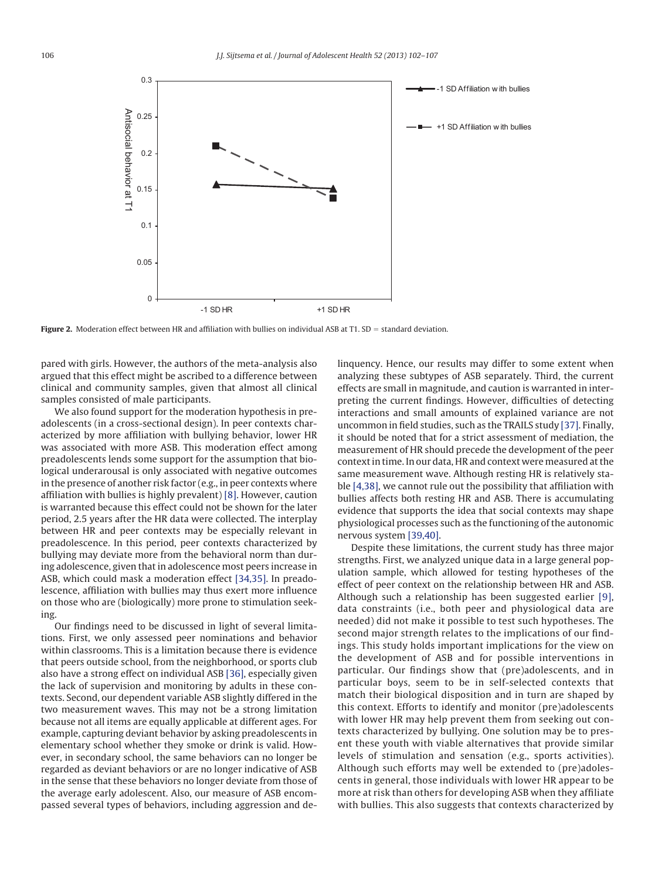

<span id="page-4-0"></span>**Figure 2.** Moderation effect between HR and affiliation with bullies on individual ASB at T1. SD = standard deviation.

pared with girls. However, the authors of the meta-analysis also argued that this effect might be ascribed to a difference between clinical and community samples, given that almost all clinical samples consisted of male participants.

We also found support for the moderation hypothesis in preadolescents (in a cross-sectional design). In peer contexts characterized by more affiliation with bullying behavior, lower HR was associated with more ASB. This moderation effect among preadolescents lends some support for the assumption that biological underarousal is only associated with negative outcomes in the presence of another risk factor (e.g., in peer contexts where affiliation with bullies is highly prevalent) [\[8\].](#page-5-3) However, caution is warranted because this effect could not be shown for the later period, 2.5 years after the HR data were collected. The interplay between HR and peer contexts may be especially relevant in preadolescence. In this period, peer contexts characterized by bullying may deviate more from the behavioral norm than during adolescence, given that in adolescence most peers increase in ASB, which could mask a moderation effect [\[34,35\].](#page-5-24) In preadolescence, affiliation with bullies may thus exert more influence on those who are (biologically) more prone to stimulation seeking.

Our findings need to be discussed in light of several limitations. First, we only assessed peer nominations and behavior within classrooms. This is a limitation because there is evidence that peers outside school, from the neighborhood, or sports club also have a strong effect on individual ASB [\[36\],](#page-5-25) especially given the lack of supervision and monitoring by adults in these contexts. Second, our dependent variable ASB slightly differed in the two measurement waves. This may not be a strong limitation because not all items are equally applicable at different ages. For example, capturing deviant behavior by asking preadolescents in elementary school whether they smoke or drink is valid. However, in secondary school, the same behaviors can no longer be regarded as deviant behaviors or are no longer indicative of ASB in the sense that these behaviors no longer deviate from those of the average early adolescent. Also, our measure of ASB encompassed several types of behaviors, including aggression and de-

linquency. Hence, our results may differ to some extent when analyzing these subtypes of ASB separately. Third, the current effects are small in magnitude, and caution is warranted in interpreting the current findings. However, difficulties of detecting interactions and small amounts of explained variance are not uncommon in field studies, such as the TRAILS study [\[37\].](#page-5-26) Finally, it should be noted that for a strict assessment of mediation, the measurement of HR should precede the development of the peer context in time. In our data, HR and context were measured at the same measurement wave. Although resting HR is relatively stable [\[4,38\],](#page-5-20) we cannot rule out the possibility that affiliation with bullies affects both resting HR and ASB. There is accumulating evidence that supports the idea that social contexts may shape physiological processes such as the functioning of the autonomic nervous system [\[39,40\].](#page-5-27)

Despite these limitations, the current study has three major strengths. First, we analyzed unique data in a large general population sample, which allowed for testing hypotheses of the effect of peer context on the relationship between HR and ASB. Although such a relationship has been suggested earlier [\[9\],](#page-5-28) data constraints (i.e., both peer and physiological data are needed) did not make it possible to test such hypotheses. The second major strength relates to the implications of our findings. This study holds important implications for the view on the development of ASB and for possible interventions in particular. Our findings show that (pre)adolescents, and in particular boys, seem to be in self-selected contexts that match their biological disposition and in turn are shaped by this context. Efforts to identify and monitor (pre)adolescents with lower HR may help prevent them from seeking out contexts characterized by bullying. One solution may be to present these youth with viable alternatives that provide similar levels of stimulation and sensation (e.g., sports activities). Although such efforts may well be extended to (pre)adolescents in general, those individuals with lower HR appear to be more at risk than others for developing ASB when they affiliate with bullies. This also suggests that contexts characterized by